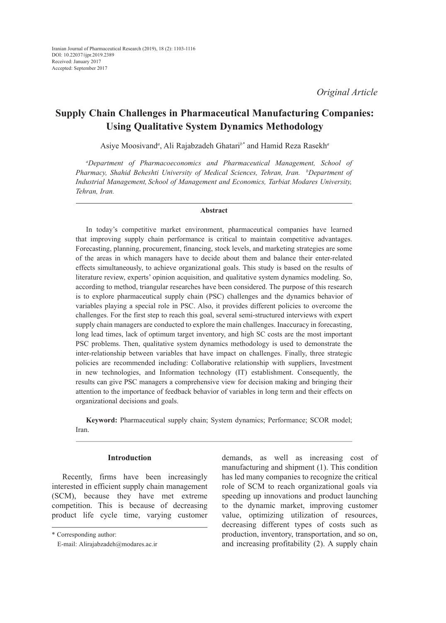# **Supply Chain Challenges in Pharmaceutical Manufacturing Companies: Using Qualitative System Dynamics Methodology**

Asiye Moosivand*<sup>a</sup>* , Ali Rajabzadeh Ghatari*b\** and Hamid Reza Rasekh*<sup>a</sup>*

*a Department of Pharmacoeconomics and Pharmaceutical Management, School of Pharmacy, Shahid Beheshti University of Medical Sciences, Tehran, Iran. b Department of Industrial Management, School of Management and Economics, Tarbiat Modares University, Tehran, Iran.*

#### **Abstract**

In today's competitive market environment, pharmaceutical companies have learned that improving supply chain performance is critical to maintain competitive advantages. Forecasting, planning, procurement, financing, stock levels, and marketing strategies are some of the areas in which managers have to decide about them and balance their enter-related effects simultaneously, to achieve organizational goals. This study is based on the results of literature review, experts' opinion acquisition, and qualitative system dynamics modeling. So, according to method, triangular researches have been considered. The purpose of this research is to explore pharmaceutical supply chain (PSC) challenges and the dynamics behavior of variables playing a special role in PSC. Also, it provides different policies to overcome the challenges. For the first step to reach this goal, several semi-structured interviews with expert supply chain managers are conducted to explore the main challenges. Inaccuracy in forecasting, long lead times, lack of optimum target inventory, and high SC costs are the most important PSC problems. Then, qualitative system dynamics methodology is used to demonstrate the inter-relationship between variables that have impact on challenges. Finally, three strategic policies are recommended including: Collaborative relationship with suppliers, Investment in new technologies, and Information technology (IT) establishment. Consequently, the results can give PSC managers a comprehensive view for decision making and bringing their attention to the importance of feedback behavior of variables in long term and their effects on organizational decisions and goals.

**Keyword:** Pharmaceutical supply chain; System dynamics; Performance; SCOR model; Iran.

## **Introduction**

Recently, firms have been increasingly interested in efficient supply chain management (SCM), because they have met extreme competition. This is because of decreasing product life cycle time, varying customer demands, as well as increasing cost of manufacturing and shipment (1). This condition has led many companies to recognize the critical role of SCM to reach organizational goals via speeding up innovations and product launching to the dynamic market, improving customer value, optimizing utilization of resources, decreasing different types of costs such as production, inventory, transportation, and so on, and increasing profitability (2). A supply chain

<sup>\*</sup> Corresponding author:

E-mail: Alirajabzadeh@modares.ac.ir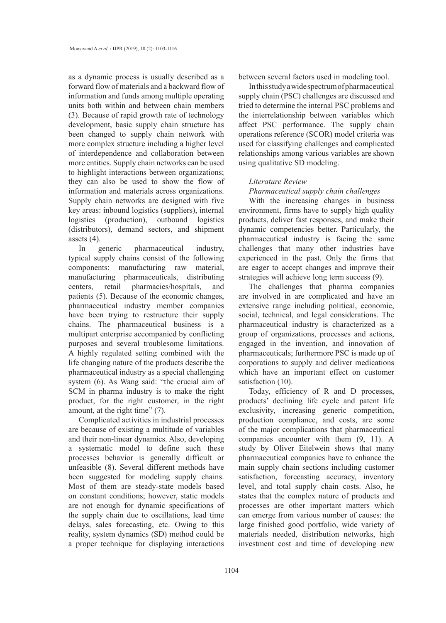as a dynamic process is usually described as a forward flow of materials and a backward flow of information and funds among multiple operating units both within and between chain members (3). Because of rapid growth rate of technology development, basic supply chain structure has been changed to supply chain network with more complex structure including a higher level of interdependence and collaboration between more entities. Supply chain networks can be used to highlight interactions between organizations; they can also be used to show the flow of information and materials across organizations. Supply chain networks are designed with five key areas: inbound logistics (suppliers), internal logistics (production), outbound logistics (distributors), demand sectors, and shipment assets (4).

In generic pharmaceutical industry, typical supply chains consist of the following components: manufacturing raw material, manufacturing pharmaceuticals, distributing centers, retail pharmacies/hospitals, and patients (5). Because of the economic changes, pharmaceutical industry member companies have been trying to restructure their supply chains. The pharmaceutical business is a multipart enterprise accompanied by conflicting purposes and several troublesome limitations. A highly regulated setting combined with the life changing nature of the products describe the pharmaceutical industry as a special challenging system (6). As Wang said: "the crucial aim of SCM in pharma industry is to make the right product, for the right customer, in the right amount, at the right time" (7).

Complicated activities in industrial processes are because of existing a multitude of variables and their non-linear dynamics. Also, developing a systematic model to define such these processes behavior is generally difficult or unfeasible (8). Several different methods have been suggested for modeling supply chains. Most of them are steady-state models based on constant conditions; however, static models are not enough for dynamic specifications of the supply chain due to oscillations, lead time delays, sales forecasting, etc. Owing to this reality, system dynamics (SD) method could be a proper technique for displaying interactions

between several factors used in modeling tool.

In this study a wide spectrum of pharmaceutical supply chain (PSC) challenges are discussed and tried to determine the internal PSC problems and the interrelationship between variables which affect PSC performance. The supply chain operations reference (SCOR) model criteria was used for classifying challenges and complicated relationships among various variables are shown using qualitative SD modeling.

# *Literature Review*

## *Pharmaceutical supply chain challenges*

With the increasing changes in business environment, firms have to supply high quality products, deliver fast responses, and make their dynamic competencies better. Particularly, the pharmaceutical industry is facing the same challenges that many other industries have experienced in the past. Only the firms that are eager to accept changes and improve their strategies will achieve long term success (9).

The challenges that pharma companies are involved in are complicated and have an extensive range including political, economic, social, technical, and legal considerations. The pharmaceutical industry is characterized as a group of organizations, processes and actions, engaged in the invention, and innovation of pharmaceuticals; furthermore PSC is made up of corporations to supply and deliver medications which have an important effect on customer satisfaction (10).

Today, efficiency of R and D processes, products' declining life cycle and patent life exclusivity, increasing generic competition, production compliance, and costs, are some of the major complications that pharmaceutical companies encounter with them (9, 11). A study by Oliver Eitelwein shows that many pharmaceutical companies have to enhance the main supply chain sections including customer satisfaction, forecasting accuracy, inventory level, and total supply chain costs. Also, he states that the complex nature of products and processes are other important matters which can emerge from various number of causes: the large finished good portfolio, wide variety of materials needed, distribution networks, high investment cost and time of developing new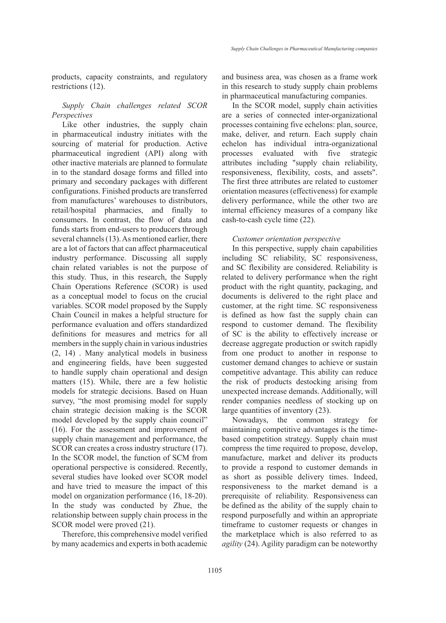products, capacity constraints, and regulatory restrictions (12).

# *Supply Chain challenges related SCOR Perspectives*

Like other industries, the supply chain in pharmaceutical industry initiates with the sourcing of material for production. Active pharmaceutical ingredient (API) along with other inactive materials are planned to formulate in to the standard dosage forms and filled into primary and secondary packages with different configurations. Finished products are transferred from manufactures' warehouses to distributors, retail/hospital pharmacies, and finally to consumers. In contrast, the flow of data and funds starts from end-users to producers through several channels (13). As mentioned earlier, there are a lot of factors that can affect pharmaceutical industry performance. Discussing all supply chain related variables is not the purpose of this study. Thus, in this research, the Supply Chain Operations Reference (SCOR) is used as a conceptual model to focus on the crucial variables. SCOR model proposed by the Supply Chain Council in makes a helpful structure for performance evaluation and offers standardized definitions for measures and metrics for all members in the supply chain in various industries (2, 14) . Many analytical models in business and engineering fields, have been suggested to handle supply chain operational and design matters (15). While, there are a few holistic models for strategic decisions. Based on Huan survey, "the most promising model for supply chain strategic decision making is the SCOR model developed by the supply chain council" (16). For the assessment and improvement of supply chain management and performance, the SCOR can creates a cross industry structure (17). In the SCOR model, the function of SCM from operational perspective is considered. Recently, several studies have looked over SCOR model and have tried to measure the impact of this model on organization performance (16, 18-20). In the study was conducted by Zhue, the relationship between supply chain process in the SCOR model were proved (21).

Therefore, this comprehensive model verified by many academics and experts in both academic and business area, was chosen as a frame work in this research to study supply chain problems in pharmaceutical manufacturing companies.

In the SCOR model, supply chain activities are a series of connected inter-organizational processes containing five echelons: plan, source, make, deliver, and return. Each supply chain echelon has individual intra-organizational processes evaluated with five strategic attributes including "supply chain reliability, responsiveness, flexibility, costs, and assets". The first three attributes are related to customer orientation measures (effectiveness) for example delivery performance, while the other two are internal efficiency measures of a company like cash-to-cash cycle time (22).

#### *Customer orientation perspective*

In this perspective, supply chain capabilities including SC reliability, SC responsiveness, and SC flexibility are considered. Reliability is related to delivery performance when the right product with the right quantity, packaging, and documents is delivered to the right place and customer, at the right time. SC responsiveness is defined as how fast the supply chain can respond to customer demand. The flexibility of SC is the ability to effectively increase or decrease aggregate production or switch rapidly from one product to another in response to customer demand changes to achieve or sustain competitive advantage. This ability can reduce the risk of products destocking arising from unexpected increase demands. Additionally, will render companies needless of stocking up on large quantities of inventory (23).

Nowadays, the common strategy for maintaining competitive advantages is the timebased competition strategy. Supply chain must compress the time required to propose, develop, manufacture, market and deliver its products to provide a respond to customer demands in as short as possible delivery times. Indeed, responsiveness to the market demand is a prerequisite of reliability. Responsiveness can be defined as the ability of the supply chain to respond purposefully and within an appropriate timeframe to customer requests or changes in the marketplace which is also referred to as *agility* (24). Agility paradigm can be noteworthy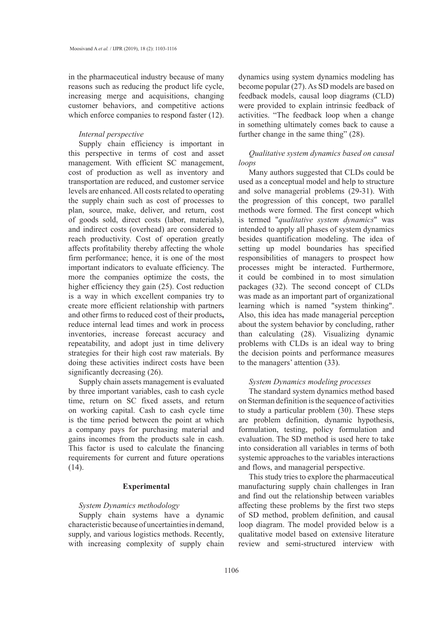in the pharmaceutical industry because of many reasons such as reducing the product life cycle, increasing merge and acquisitions, changing customer behaviors, and competitive actions which enforce companies to respond faster (12).

#### *Internal perspective*

Supply chain efficiency is important in this perspective in terms of cost and asset management. With efficient SC management, cost of production as well as inventory and transportation are reduced, and customer service levels are enhanced. All costs related to operating the supply chain such as cost of processes to plan, source, make, deliver, and return, cost of goods sold, direct costs (labor, materials), and indirect costs (overhead) are considered to reach productivity. Cost of operation greatly affects profitability thereby affecting the whole firm performance; hence, it is one of the most important indicators to evaluate efficiency. The more the companies optimize the costs, the higher efficiency they gain (25). Cost reduction is a way in which excellent companies try to create more efficient relationship with partners and other firms to reduced cost of their products**,**  reduce internal lead times and work in process inventories, increase forecast accuracy and repeatability, and adopt just in time delivery strategies for their high cost raw materials. By doing these activities indirect costs have been significantly decreasing (26).

Supply chain assets management is evaluated by three important variables, cash to cash cycle time, return on SC fixed assets, and return on working capital. Cash to cash cycle time is the time period between the point at which a company pays for purchasing material and gains incomes from the products sale in cash. This factor is used to calculate the financing requirements for current and future operations (14).

#### **Experimental**

## *System Dynamics methodology*

Supply chain systems have a dynamic characteristic because of uncertainties in demand, supply, and various logistics methods. Recently, with increasing complexity of supply chain dynamics using system dynamics modeling has become popular (27). As SD models are based on feedback models, causal loop diagrams (CLD) were provided to explain intrinsic feedback of activities. "The feedback loop when a change in something ultimately comes back to cause a further change in the same thing" (28).

## *Qualitative system dynamics based on causal loops*

Many authors suggested that CLDs could be used as a conceptual model and help to structure and solve managerial problems (29-31). With the progression of this concept, two parallel methods were formed. The first concept which is termed "*qualitative system dynamics*" was intended to apply all phases of system dynamics besides quantification modeling. The idea of setting up model boundaries has specified responsibilities of managers to prospect how processes might be interacted. Furthermore, it could be combined in to most simulation packages (32). The second concept of CLDs was made as an important part of organizational learning which is named "system thinking". Also, this idea has made managerial perception about the system behavior by concluding, rather than calculating (28). Visualizing dynamic problems with CLDs is an ideal way to bring the decision points and performance measures to the managers' attention (33).

#### *System Dynamics modeling processes*

The standard system dynamics method based on Sterman definition is the sequence of activities to study a particular problem (30). These steps are problem definition, dynamic hypothesis, formulation, testing, policy formulation and evaluation. The SD method is used here to take into consideration all variables in terms of both systemic approaches to the variables interactions and flows, and managerial perspective.

This study tries to explore the pharmaceutical manufacturing supply chain challenges in Iran and find out the relationship between variables affecting these problems by the first two steps of SD method, problem definition, and causal loop diagram. The model provided below is a qualitative model based on extensive literature review and semi-structured interview with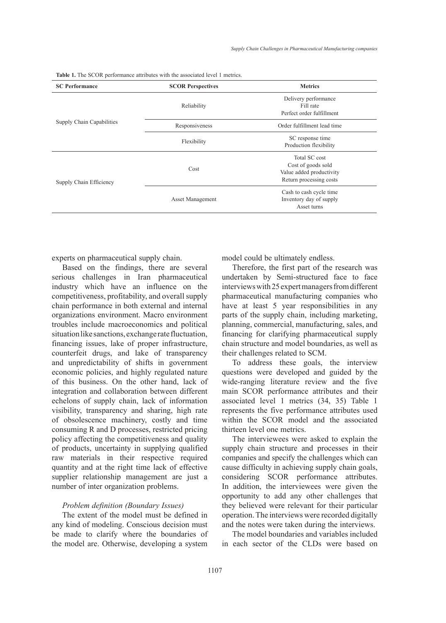| <b>SC</b> Performance     | <b>SCOR Perspectives</b> | <b>Metrics</b>                                                                             |  |
|---------------------------|--------------------------|--------------------------------------------------------------------------------------------|--|
|                           | Reliability              | Delivery performance<br>Fill rate<br>Perfect order fulfillment                             |  |
| Supply Chain Capabilities | Responsiveness           | Order fulfillment lead time                                                                |  |
|                           | Flexibility              | SC response time<br>Production flexibility                                                 |  |
| Supply Chain Efficiency   | Cost                     | Total SC cost<br>Cost of goods sold<br>Value added productivity<br>Return processing costs |  |
|                           | <b>Asset Management</b>  | Cash to cash cycle time<br>Inventory day of supply<br>Asset turns                          |  |

**Table 1.** The SCOR performance attributes with the associated level 1 metrics.

experts on pharmaceutical supply chain.

Based on the findings, there are several serious challenges in Iran pharmaceutical industry which have an influence on the competitiveness, profitability, and overall supply chain performance in both external and internal organizations environment. Macro environment troubles include macroeconomics and political situation like sanctions, exchange rate fluctuation, financing issues, lake of proper infrastructure, counterfeit drugs, and lake of transparency and unpredictability of shifts in government economic policies, and highly regulated nature of this business. On the other hand, lack of integration and collaboration between different echelons of supply chain, lack of information visibility, transparency and sharing, high rate of obsolescence machinery, costly and time consuming R and D processes, restricted pricing policy affecting the competitiveness and quality of products, uncertainty in supplying qualified raw materials in their respective required quantity and at the right time lack of effective supplier relationship management are just a number of inter organization problems.

#### *Problem definition (Boundary Issues)*

The extent of the model must be defined in any kind of modeling. Conscious decision must be made to clarify where the boundaries of the model are. Otherwise, developing a system model could be ultimately endless.

Therefore, the first part of the research was undertaken by Semi-structured face to face interviews with 25 expert managers from different pharmaceutical manufacturing companies who have at least 5 year responsibilities in any parts of the supply chain, including marketing, planning, commercial, manufacturing, sales, and financing for clarifying pharmaceutical supply chain structure and model boundaries, as well as their challenges related to SCM.

To address these goals, the interview questions were developed and guided by the wide-ranging literature review and the five main SCOR performance attributes and their associated level 1 metrics (34, 35) Table 1 represents the five performance attributes used within the SCOR model and the associated thirteen level one metrics.

The interviewees were asked to explain the supply chain structure and processes in their companies and specify the challenges which can cause difficulty in achieving supply chain goals, considering SCOR performance attributes. In addition, the interviewees were given the opportunity to add any other challenges that they believed were relevant for their particular operation. The interviews were recorded digitally and the notes were taken during the interviews.

The model boundaries and variables included in each sector of the CLDs were based on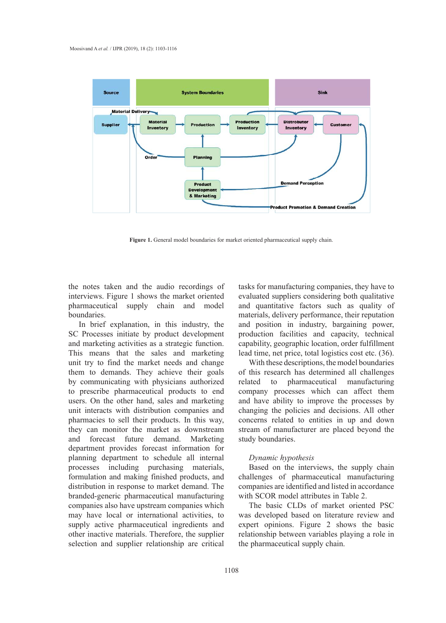

**Figure 1.** General model boundaries for market oriented pharmaceutical supply chain.

the notes taken and the audio recordings of interviews. Figure 1 shows the market oriented pharmaceutical supply chain and model boundaries.

In brief explanation, in this industry, the SC Processes initiate by product development and marketing activities as a strategic function. This means that the sales and marketing unit try to find the market needs and change them to demands. They achieve their goals by communicating with physicians authorized to prescribe pharmaceutical products to end users. On the other hand, sales and marketing unit interacts with distribution companies and pharmacies to sell their products. In this way, they can monitor the market as downstream and forecast future demand. Marketing department provides forecast information for planning department to schedule all internal processes including purchasing materials, formulation and making finished products, and distribution in response to market demand. The branded-generic pharmaceutical manufacturing companies also have upstream companies which may have local or international activities, to supply active pharmaceutical ingredients and other inactive materials. Therefore, the supplier selection and supplier relationship are critical tasks for manufacturing companies, they have to evaluated suppliers considering both qualitative and quantitative factors such as quality of materials, delivery performance, their reputation and position in industry, bargaining power, production facilities and capacity, technical capability, geographic location, order fulfillment lead time, net price, total logistics cost etc. (36).

With these descriptions, the model boundaries of this research has determined all challenges related to pharmaceutical manufacturing company processes which can affect them and have ability to improve the processes by changing the policies and decisions. All other concerns related to entities in up and down stream of manufacturer are placed beyond the study boundaries.

#### *Dynamic hypothesis*

Based on the interviews, the supply chain challenges of pharmaceutical manufacturing companies are identified and listed in accordance with SCOR model attributes in Table 2.

The basic CLDs of market oriented PSC was developed based on literature review and expert opinions. Figure 2 shows the basic relationship between variables playing a role in the pharmaceutical supply chain.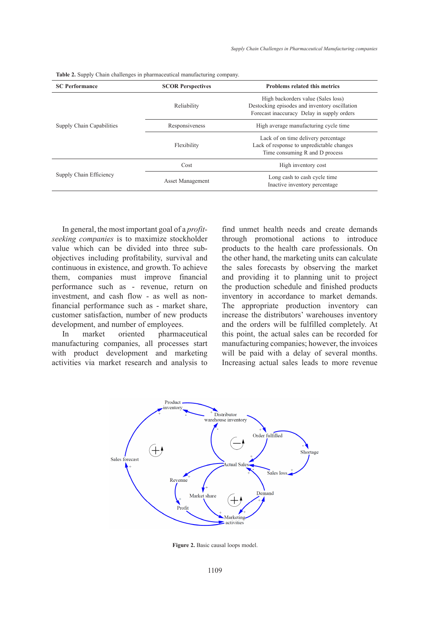| <b>SC Performance</b>     | <b>SCOR Perspectives</b> | <b>Problems related this metrics</b>                                                                                              |  |
|---------------------------|--------------------------|-----------------------------------------------------------------------------------------------------------------------------------|--|
|                           | Reliability              | High backorders value (Sales loss)<br>Destocking episodes and inventory oscillation<br>Forecast inaccuracy Delay in supply orders |  |
| Supply Chain Capabilities | Responsiveness           | High average manufacturing cycle time                                                                                             |  |
|                           | Flexibility              | Lack of on time delivery percentage<br>Lack of response to unpredictable changes<br>Time consuming R and D process                |  |
| Supply Chain Efficiency   | Cost                     | High inventory cost                                                                                                               |  |
|                           | <b>Asset Management</b>  | Long cash to cash cycle time<br>Inactive inventory percentage                                                                     |  |
|                           |                          |                                                                                                                                   |  |

|  |  |  |  | Table 2. Supply Chain challenges in pharmaceutical manufacturing company. |
|--|--|--|--|---------------------------------------------------------------------------|
|--|--|--|--|---------------------------------------------------------------------------|

In general, the most important goal of a *profitseeking companies* is to maximize stockholder value which can be divided into three subobjectives including profitability, survival and continuous in existence, and growth. To achieve them, companies must improve financial performance such as - revenue, return on investment, and cash flow - as well as nonfinancial performance such as - market share, customer satisfaction, number of new products development, and number of employees.

In market oriented pharmaceutical manufacturing companies, all processes start with product development and marketing activities via market research and analysis to find unmet health needs and create demands through promotional actions to introduce products to the health care professionals. On the other hand, the marketing units can calculate the sales forecasts by observing the market and providing it to planning unit to project the production schedule and finished products inventory in accordance to market demands. The appropriate production inventory can increase the distributors' warehouses inventory and the orders will be fulfilled completely. At this point, the actual sales can be recorded for manufacturing companies; however, the invoices will be paid with a delay of several months. Increasing actual sales leads to more revenue



**Figure 2.** Basic causal loops model.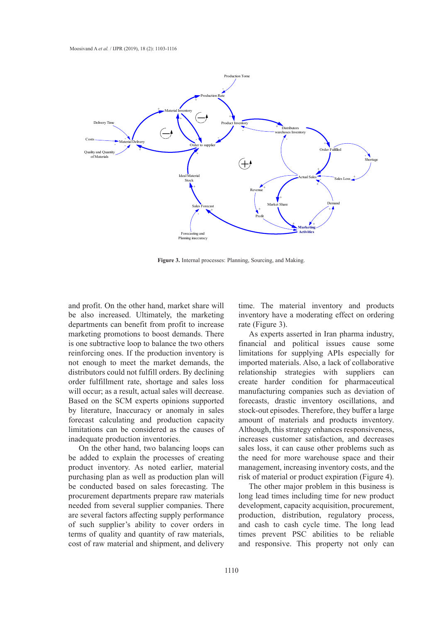

**Figure 3.** Internal processes: Planning, Sourcing, and Making. **Figure 3.** Internal processes: Planning, Sourcing, and Making.

and profit. On the other hand, market share will ime. The material inventory an be also increased. Ultimately, the marketing inventory have a moderating effect departments can benefit from profit to increase marketing promotions to boost demands. There As experts asserted in Iran pharmarketing promotions to boost demands. There As experts asserted in Iran pharm is one subtractive loop to balance the two others financial and political issues c reinforcing ones. If the production inventory is limitations for supplying APIs esp not enough to meet the market demands, the imported materials. Also, a lack of c distributors could not fulfill orders. By declining order fulfillment rate, shortage and sales loss create will occur; as a result, actual sales will decrease. Based on the SCM experts opinions supported by literature, Inaccuracy or anomaly in sales forecast calculating and production capacity limitations can be considered as the causes of inadequate production inventories.

On the other hand, two balancing loops can be added to explain the processes of creating product inventory. As noted earlier, material purchasing plan as well as production plan will be conducted based on sales forecasting. The procurement departments prepare raw materials needed from several supplier companies. There are several factors affecting supply performance of such supplier's ability to cover orders in terms of quality and quantity of raw materials, cost of raw material and shipment, and delivery

time. The material inventory and products inventory have a moderating effect on ordering rate (Figure 3).

As experts asserted in Iran pharma industry, financial and political issues cause some limitations for supplying APIs especially for imported materials. Also, a lack of collaborative relationship strategies with suppliers can create harder condition for pharmaceutical manufacturing companies such as deviation of forecasts, drastic inventory oscillations, and stock-out episodes. Therefore, they buffer a large amount of materials and products inventory. Although, this strategy enhances responsiveness, increases customer satisfaction, and decreases sales loss, it can cause other problems such as the need for more warehouse space and their management, increasing inventory costs, and the risk of material or product expiration (Figure 4).

The other major problem in this business is long lead times including time for new product development, capacity acquisition, procurement, production, distribution, regulatory process, and cash to cash cycle time. The long lead times prevent PSC abilities to be reliable and responsive. This property not only can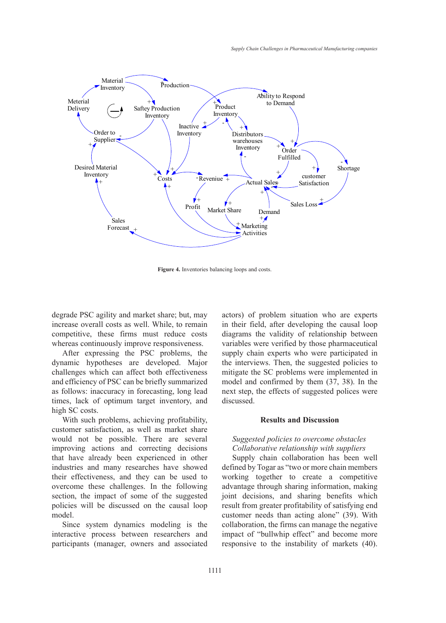

**Figure 4.** Inventories balancing loops and costs. **Figure 4.** Inventories balancing loops and costs.

degrade PSC agility and market share; but, may increase overall costs as well. While, to remain competitive, these firms must reduce costs whereas continuously improve responsiveness.

After expressing the PSC problems, the dynamic hypotheses are developed. Major challenges which can affect both effectiveness and efficiency of PSC can be briefly summarized as follows: inaccuracy in forecasting, long lead times, lack of optimum target inventory, and discussed. high SC costs. ing in SC costs.

With such problems, achieving profitability, customer satisfaction, as well as market share customer satisfaction, as well as market share<br>would not be possible. There are several Suggested policies to overcome obstacles improving actions and correcting decisions Collaborative relationship with suppliers that have already been experienced in other industries and many researches have showed their effectiveness, and they can be used to overcome these challenges. In the following section, the impact of some of the suggested joint decisions policies will be discussed on the causal loop model.

Since system dynamics modeling is the interactive process between researchers and participants (manager, owners and associated

actors) of problem situation who are experts egrade FSC aginty and market share, but, may actors) or problem situation who are experts crease overall costs as well. While, to remain in their field, after developing the causal loop ompetitive, these firms must reduce costs diagrams the validity of relationship between variables were verified by those pharmaceutical After expressing the PSC problems, the supply chain experts who were participated in the interviews. Then, the suggested policies to mitigate the SC problems were implemented in nd efficiency of PSC can be briefly summarized model and confirmed by them (37, 38). In the next step, the effects of suggested polices were discussed.

# **Results and Discussion**

# *Suggested policies to overcome obstacles Collaborative relationship with suppliers*

Supply chain collaboration has been well dustries and many researches have showed defined by Togar as "two or more chain members" leir effectiveness, and they can be used to working together to create a competitive advantage through sharing information, making joint decisions, and sharing benefits which result from greater profitability of satisfying end customer needs than acting alone" (39). With collaboration, the firms can manage the negative impact of "bullwhip effect" and become more responsive to the instability of markets (40).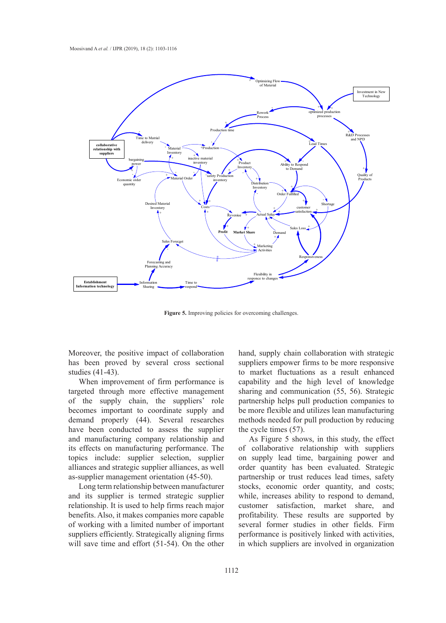

**Figure 5.** Improving policies for overcoming challenges.

Moreover, the positive impact of collaboration has been proved by several cross sectional studies (41-43).

When improvement of firm performance is targeted through more effective management of the supply chain, the suppliers' role becomes important to coordinate supply and demand properly (44). Several researches have been conducted to assess the supplier and manufacturing company relationship and its effects on manufacturing performance. The topics include: supplier selection, supplier alliances and strategic supplier alliances, as well as-supplier management orientation (45-50).

Long term relationship between manufacturer and its supplier is termed strategic supplier relationship. It is used to help firms reach major benefits. Also, it makes companies more capable of working with a limited number of important suppliers efficiently. Strategically aligning firms will save time and effort (51-54). On the other

hand, supply chain collaboration with strategic suppliers empower firms to be more responsive to market fluctuations as a result enhanced capability and the high level of knowledge sharing and communication (55, 56). Strategic partnership helps pull production companies to be more flexible and utilizes lean manufacturing methods needed for pull production by reducing the cycle times (57).

As Figure 5 shows, in this study, the effect of collaborative relationship with suppliers on supply lead time, bargaining power and order quantity has been evaluated. Strategic partnership or trust reduces lead times, safety stocks, economic order quantity, and costs; while, increases ability to respond to demand, customer satisfaction, market share, and profitability. These results are supported by several former studies in other fields. Firm performance is positively linked with activities, in which suppliers are involved in organization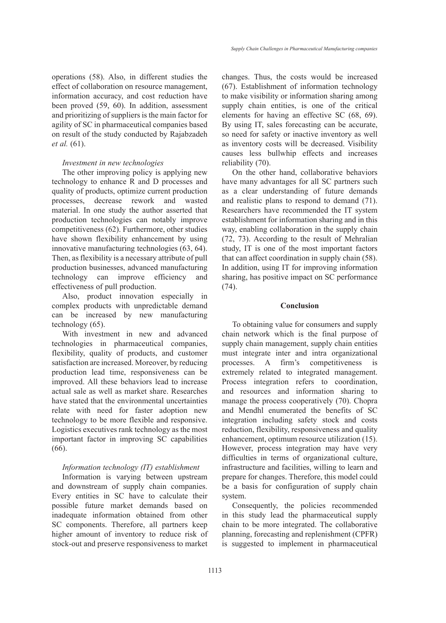operations (58). Also, in different studies the effect of collaboration on resource management, information accuracy, and cost reduction have been proved (59, 60). In addition, assessment and prioritizing of suppliers is the main factor for agility of SC in pharmaceutical companies based on result of the study conducted by Rajabzadeh *et al.* (61).

#### *Investment in new technologies*

The other improving policy is applying new technology to enhance R and D processes and quality of products, optimize current production processes, decrease rework and wasted material. In one study the author asserted that production technologies can notably improve competitiveness (62). Furthermore, other studies have shown flexibility enhancement by using innovative manufacturing technologies (63, 64). Then, as flexibility is a necessary attribute of pull production businesses, advanced manufacturing technology can improve efficiency and effectiveness of pull production.

Also, product innovation especially in complex products with unpredictable demand can be increased by new manufacturing technology (65).

With investment in new and advanced technologies in pharmaceutical companies, flexibility, quality of products, and customer satisfaction are increased. Moreover, by reducing production lead time, responsiveness can be improved. All these behaviors lead to increase actual sale as well as market share. Researches have stated that the environmental uncertainties relate with need for faster adoption new technology to be more flexible and responsive. Logistics executives rank technology as the most important factor in improving SC capabilities (66).

# *Information technology (IT) establishment*

Information is varying between upstream and downstream of supply chain companies. Every entities in SC have to calculate their possible future market demands based on inadequate information obtained from other SC components. Therefore, all partners keep higher amount of inventory to reduce risk of stock-out and preserve responsiveness to market

changes. Thus, the costs would be increased (67). Establishment of information technology to make visibility or information sharing among supply chain entities, is one of the critical elements for having an effective SC (68, 69). By using IT, sales forecasting can be accurate, so need for safety or inactive inventory as well as inventory costs will be decreased. Visibility causes less bullwhip effects and increases reliability (70).

On the other hand, collaborative behaviors have many advantages for all SC partners such as a clear understanding of future demands and realistic plans to respond to demand (71). Researchers have recommended the IT system establishment for information sharing and in this way, enabling collaboration in the supply chain (72, 73). According to the result of Mehralian study, IT is one of the most important factors that can affect coordination in supply chain (58). In addition, using IT for improving information sharing, has positive impact on SC performance (74).

## **Conclusion**

To obtaining value for consumers and supply chain network which is the final purpose of supply chain management, supply chain entities must integrate inter and intra organizational processes. A firm's competitiveness is extremely related to integrated management. Process integration refers to coordination, and resources and information sharing to manage the process cooperatively (70). Chopra and Mendhl enumerated the benefits of SC integration including safety stock and costs reduction, flexibility, responsiveness and quality enhancement, optimum resource utilization (15). However, process integration may have very difficulties in terms of organizational culture, infrastructure and facilities, willing to learn and prepare for changes. Therefore, this model could be a basis for configuration of supply chain system.

Consequently, the policies recommended in this study lead the pharmaceutical supply chain to be more integrated. The collaborative planning, forecasting and replenishment (CPFR) is suggested to implement in pharmaceutical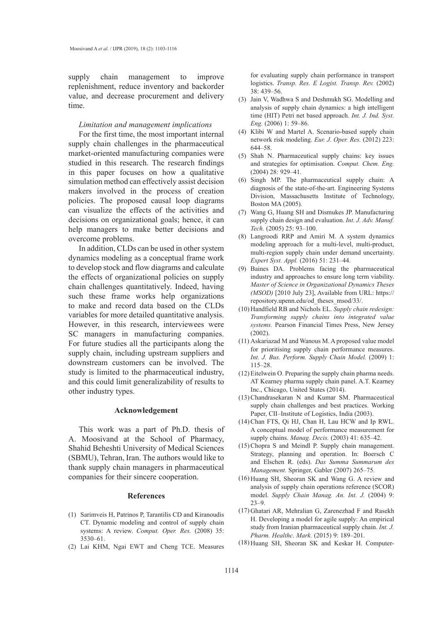supply chain management to improve replenishment, reduce inventory and backorder value, and decrease procurement and delivery time.

#### *Limitation and management implications*

For the first time, the most important internal supply chain challenges in the pharmaceutical market-oriented manufacturing companies were studied in this research. The research findings in this paper focuses on how a qualitative simulation method can effectively assist decision makers involved in the process of creation policies. The proposed causal loop diagrams can visualize the effects of the activities and decisions on organizational goals; hence, it can help managers to make better decisions and overcome problems.

In addition, CLDs can be used in other system dynamics modeling as a conceptual frame work to develop stock and flow diagrams and calculate the effects of organizational policies on supply chain challenges quantitatively. Indeed, having such these frame works help organizations to make and record data based on the CLDs variables for more detailed quantitative analysis. However, in this research, interviewees were SC managers in manufacturing companies. For future studies all the participants along the supply chain, including upstream suppliers and downstream customers can be involved. The study is limited to the pharmaceutical industry, and this could limit generalizability of results to other industry types.

#### **Acknowledgement**

This work was a part of Ph.D. thesis of A. Moosivand at the School of Pharmacy, Shahid Beheshti University of Medical Sciences (SBMU), Tehran, Iran. The authors would like to thank supply chain managers in pharmaceutical companies for their sincere cooperation.

## **References**

- Sarimveis H, Patrinos P, Tarantilis CD and Kiranoudis (1) CT. Dynamic modeling and control of supply chain systems: A review. *Comput. Oper. Res.* (2008) 35: 3530–61.
- (2) Lai KHM, Ngai EWT and Cheng TCE. Measures

for evaluating supply chain performance in transport logistics. *Transp. Res. E Logist. Transp. Rev.* (2002) 38: 439–56.

- (3) Jain V, Wadhwa S and Deshmukh SG. Modelling and analysis of supply chain dynamics: a high intelligent time (HIT) Petri net based approach. *Int. J. Ind. Syst. Eng.* (2006) 1: 59–86.
- (4) Klibi W and Martel A. Scenario-based supply chain network risk modeling. *Eur. J. Oper. Res.* (2012) 223: 644–58.
- (5) Shah N. Pharmaceutical supply chains: key issues and strategies for optimisation. *Comput. Chem. Eng.*  (2004) 28: 929–41.
- $(6)$  Singh MP. The pharmaceutical supply chain: A diagnosis of the state-of-the-art. Engineering Systems Division, Massachusetts Institute of Technology, Boston MA (2005).
- Wang G, Huang SH and Dismukes JP. Manufacturing (7) supply chain design and evaluation. *Int. J. Adv. Manuf. Tech.* (2005) 25: 93–100.
- Langroodi RRP and Amiri M. A system dynamics (8) modeling approach for a multi-level, multi-product, multi-region supply chain under demand uncertainty. *Expert Syst. Appl.* (2016) 51: 231–44.
- Baines DA. Problems facing the pharmaceutical (9) industry and approaches to ensure long term viability. *Master of Science in Organizational Dynamics Theses (MSOD)* [2010 July 23], Available from URL: https:// repository.upenn.edu/od\_theses\_msod/33/.
- (10) Handfield RB and Nichols EL. Supply chain redesign: *Transforming supply chains into integrated value systems.* Pearson Financial Times Press, New Jersey (2002).
- (11) Askariazad M and Wanous M. A proposed value model for prioritising supply chain performance measures. *Int. J. Bus. Perform. Supply Chain Model.* (2009) 1: 115–28.
- $(12)$  Eitelwein O. Preparing the supply chain pharma needs. AT Kearney pharma supply chain panel. A.T. Kearney Inc., Chicago, United States (2014).
- $(13)$  Chandrasekaran N and Kumar SM. Pharmaceutical supply chain challenges and best practices. Working Paper, CII–Institute of Logistics, India (2003).
- (14) Chan FTS, Qi HJ, Chan H, Lau HCW and Ip RWL. A conceptual model of performance measurement for supply chains. *Manag. Decis.* (2003) 41: 635–42.
- $(15)$  Chopra S and Meindl P. Supply chain management. Strategy, planning and operation. In: Boersch C and Elschen R. (eds). *Das Summa Summarum des Management.* Springer, Gabler (2007) 265–75.
- (16) Huang SH, Sheoran SK and Wang G. A review and analysis of supply chain operations reference (SCOR) model. *Supply Chain Manag. An. Int. J.* (2004) 9: 23–9.
- (17) Ghatari AR, Mehralian G, Zarenezhad F and Rasekh H. Developing a model for agile supply: An empirical study from Iranian pharmaceutical supply chain. *Int. J. Pharm. Healthc. Mark.* (2015) 9: 189–201.
- (18) Huang SH, Sheoran SK and Keskar H. Computer-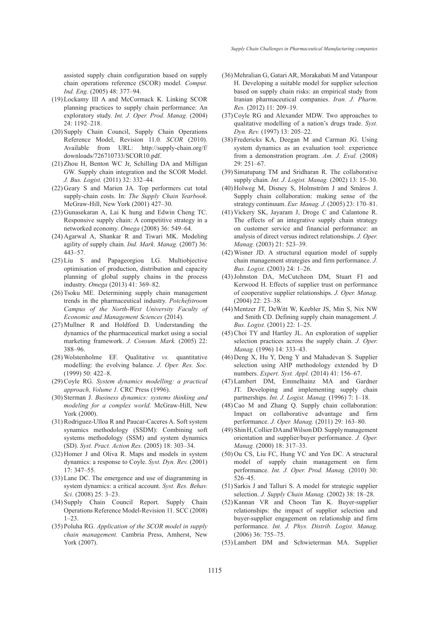assisted supply chain configuration based on supply chain operations reference (SCOR) model. *Comput. Ind. Eng.* (2005) 48: 377–94.

- (19) Lockamy III A and McCormack K. Linking SCOR planning practices to supply chain performance: An exploratory study. *Int. J. Oper. Prod. Manag.* (2004) 24: 1192–218.
- (20) Supply Chain Council, Supply Chain Operations Reference Model, Revision 11.0*. SCOR* (2010). Available from URL: http://supply-chain.org/f/ downloads/726710733/SCOR10.pdf.
- $(21)$  Zhou H, Benton WC Jr, Schilling DA and Milligan GW. Supply chain integration and the SCOR Model. *J. Bus. Logist.* (2011) 32: 332–44.
- (22) Geary S and Marien JA. Top performers cut total supply-chain costs. In: *The Supply Chain Yearbook.* McGraw-Hill, New York (2001) 427–30.
- $(23)$  Gunasekaran A, Lai K hung and Edwin Cheng TC. Responsive supply chain: A competitive strategy in a networked economy. *Omega* (2008) 36: 549–64.
- (24) Agarwal A, Shankar R and Tiwari MK. Modeling agility of supply chain. *Ind. Mark. Manag.* (2007) 36: 443–57.
- (25) Liu S and Papageorgiou LG. Multiobjective optimisation of production, distribution and capacity planning of global supply chains in the process industry. *Omega* (2013) 41: 369–82.
- (26) Tsoku ME. Determining supply chain management trends in the pharmaceutical industry. *Potchefstroom Campus of the North-West University Faculty of Economic and Management Sciences* (2014).
- $(27)$  Mullner R and Holdford D. Understanding the dynamics of the pharmaceutical market using a social marketing framework. *J. Consum. Mark.* (2005) 22: 388–96.
- Wolstenholme EF. Qualitative *vs.* quantitative (28) modelling: the evolving balance. *J. Oper. Res. Soc.* (1999) 50: 422–8.
- (29) Coyle RG. System dynamics modelling: a practical *approach, Volume 1.* CRC Press (1996).
- (30) Sterman J. *Business dynamics: systems thinking and modeling for a complex world.* McGraw-Hill, New York (2000).
- (31) Rodriguez-Ulloa R and Paucar-Caceres A. Soft system synamics methodology (SSDM): Combining soft systems methodology (SSM) and system dynamics (SD). *Syst. Pract. Action Res.* (2005) 18: 303–34.
- $(32)$  Homer J and Oliva R. Maps and models in system dynamics: a response to Coyle. *Syst. Dyn. Rev.* (2001) 17: 347–55.
- (33) Lane DC. The emergence and use of diagramming in system dynamics: a critical account. *Syst. Res. Behav. Sci.* (2008) 25: 3–23.
- (34) Supply Chain Council Report. Supply Chain Operations Reference Model-Revision 11. SCC (2008) 1–23.
- (35) Poluha RG. *Application of the SCOR model in supply chain management.* Cambria Press, Amherst, New York (2007).
- (36) Mehralian G, Gatari AR, Morakabati M and Vatanpour H. Developing a suitable model for supplier selection based on supply chain risks: an empirical study from Iranian pharmaceutical companies. *Iran. J. Pharm. Res.* (2012) 11: 209–19.
- (37) Coyle RG and Alexander MDW. Two approaches to qualitative modelling of a nation's drugs trade. *Syst. Dyn. Rev.* (1997) 13: 205–22.
- (38) Fredericks KA, Deegan M and Carman JG. Using system dynamics as an evaluation tool: experience from a demonstration program. *Am. J. Eval.* (2008) 29: 251–67.
- (39) Simatupang TM and Sridharan R. The collaborative supply chain. *Int. J. Logist. Manag.* (2002) 13: 15–30.
- (40) Holweg M, Disney S, Holmström J and Småros J. Supply chain collaboration: making sense of the strategy continuum. *Eur. Manag. J.* (2005) 23: 170–81.
- $(41)$  Vickery SK, Jayaram J, Droge C and Calantone R. The effects of an integrative supply chain strategy on customer service and financial performance: an analysis of direct versus indirect relationships. *J. Oper. Manag.* (2003) 21: 523–39.
- Wisner JD. A structural equation model of supply (42) chain management strategies and firm performance. *J. Bus. Logist.* (2003) 24: 1–26.
- (43) Johnston DA, McCutcheon DM, Stuart FI and Kerwood H. Effects of supplier trust on performance of cooperative supplier relationships. *J. Oper. Manag.* (2004) 22: 23–38.
- (44) Mentzer JT, DeWitt W, Keebler JS, Min S, Nix NW and Smith CD. Defining supply chain management*. J. Bus. Logist.* (2001) 22: 1–25.
- (45) Choi TY and Hartley JL. An exploration of supplier selection practices across the supply chain. *J. Oper. Manag.* (1996) 14: 333–43.
- (46) Deng X, Hu Y, Deng Y and Mahadevan S. Supplier selection using AHP methodology extended by D numbers. *Expert. Syst. Appl.* (2014) 41: 156–67.
- Lambert DM, Emmelhainz MA and Gardner (47) JT. Developing and implementing supply chain partnerships. *Int. J. Logist. Manag.* (1996) 7: 1–18.
- (48) Cao M and Zhang Q. Supply chain collaboration: Impact on collaborative advantage and firm performance. *J. Oper. Manag.* (2011) 29: 163–80.
- (49) Shin H, Collier DA and Wilson DD. Supply management orientation and supplier/buyer performance. *J. Oper. Manag.* (2000) 18: 317–33.
- (50) Ou CS, Liu FC, Hung YC and Yen DC. A structural model of supply chain management on firm performance. *Int. J. Oper. Prod. Manag.* (2010) 30: 526–45.
- (51) Sarkis J and Talluri S. A model for strategic supplier selection. *J. Supply Chain Manag.* (2002) 38: 18–28.
- (52) Kannan VR and Choon Tan K. Buyer-supplier relationships: the impact of supplier selection and buyer-supplier engagement on relationship and firm performance. *Int. J. Phys. Distrib. Logist. Manag.* (2006) 36: 755–75.
- (53) Lambert DM and Schwieterman MA. Supplier